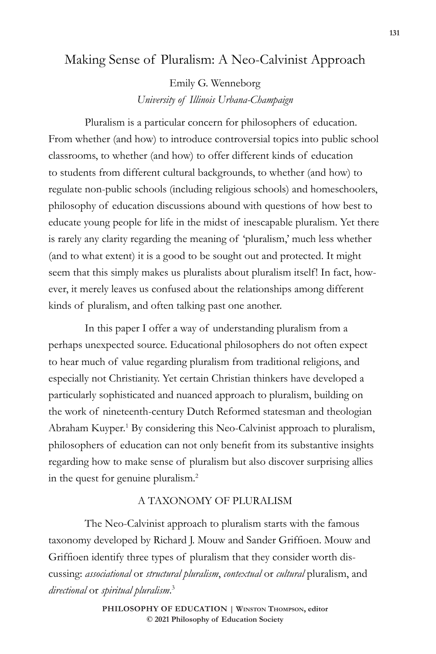# Making Sense of Pluralism: A Neo-Calvinist Approach

Emily G. Wenneborg *University of Illinois Urbana-Champaign*

Pluralism is a particular concern for philosophers of education. From whether (and how) to introduce controversial topics into public school classrooms, to whether (and how) to offer different kinds of education to students from different cultural backgrounds, to whether (and how) to regulate non-public schools (including religious schools) and homeschoolers, philosophy of education discussions abound with questions of how best to educate young people for life in the midst of inescapable pluralism. Yet there is rarely any clarity regarding the meaning of 'pluralism,' much less whether (and to what extent) it is a good to be sought out and protected. It might seem that this simply makes us pluralists about pluralism itself! In fact, however, it merely leaves us confused about the relationships among different kinds of pluralism, and often talking past one another.

In this paper I offer a way of understanding pluralism from a perhaps unexpected source. Educational philosophers do not often expect to hear much of value regarding pluralism from traditional religions, and especially not Christianity. Yet certain Christian thinkers have developed a particularly sophisticated and nuanced approach to pluralism, building on the work of nineteenth-century Dutch Reformed statesman and theologian Abraham Kuyper.<sup>1</sup> By considering this Neo-Calvinist approach to pluralism, philosophers of education can not only benefit from its substantive insights regarding how to make sense of pluralism but also discover surprising allies in the quest for genuine pluralism.2

## A TAXONOMY OF PLURALISM

The Neo-Calvinist approach to pluralism starts with the famous taxonomy developed by Richard J. Mouw and Sander Griffioen. Mouw and Griffioen identify three types of pluralism that they consider worth discussing: *associational* or *structural pluralism*, *contextual* or *cultural* pluralism, and *directional* or *spiritual pluralism*. 3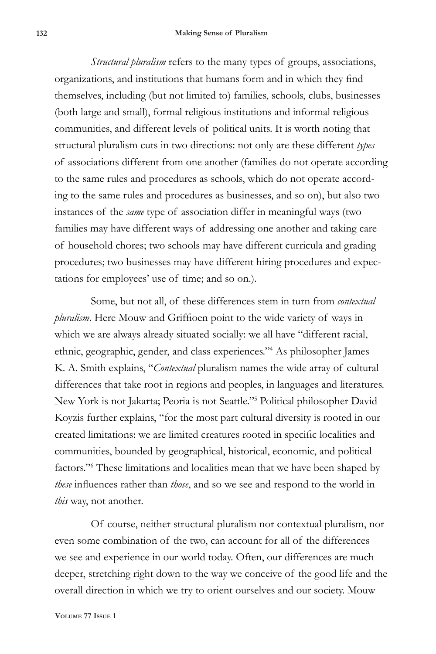*Structural pluralism* refers to the many types of groups, associations, organizations, and institutions that humans form and in which they find themselves, including (but not limited to) families, schools, clubs, businesses (both large and small), formal religious institutions and informal religious communities, and different levels of political units. It is worth noting that structural pluralism cuts in two directions: not only are these different *types* of associations different from one another (families do not operate according to the same rules and procedures as schools, which do not operate according to the same rules and procedures as businesses, and so on), but also two instances of the *same* type of association differ in meaningful ways (two families may have different ways of addressing one another and taking care of household chores; two schools may have different curricula and grading procedures; two businesses may have different hiring procedures and expectations for employees' use of time; and so on.).

Some, but not all, of these differences stem in turn from *contextual pluralism*. Here Mouw and Griffioen point to the wide variety of ways in which we are always already situated socially: we all have "different racial, ethnic, geographic, gender, and class experiences."4 As philosopher James K. A. Smith explains, "*Contextual* pluralism names the wide array of cultural differences that take root in regions and peoples, in languages and literatures. New York is not Jakarta; Peoria is not Seattle."5 Political philosopher David Koyzis further explains, "for the most part cultural diversity is rooted in our created limitations: we are limited creatures rooted in specific localities and communities, bounded by geographical, historical, economic, and political factors."<sup>6</sup> These limitations and localities mean that we have been shaped by *these* influences rather than *those*, and so we see and respond to the world in *this* way, not another.

Of course, neither structural pluralism nor contextual pluralism, nor even some combination of the two, can account for all of the differences we see and experience in our world today. Often, our differences are much deeper, stretching right down to the way we conceive of the good life and the overall direction in which we try to orient ourselves and our society. Mouw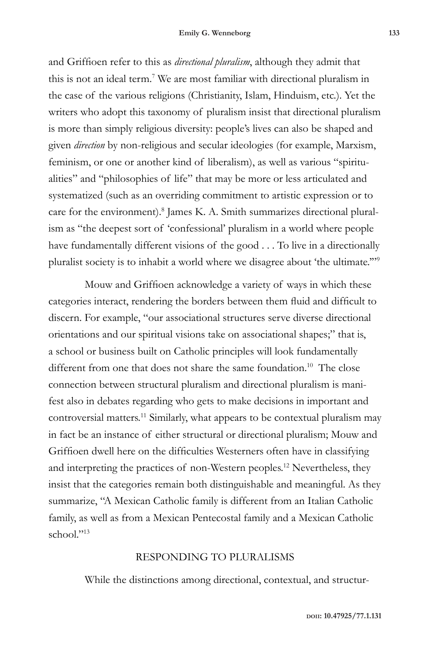and Griffioen refer to this as *directional pluralism*, although they admit that this is not an ideal term.7 We are most familiar with directional pluralism in the case of the various religions (Christianity, Islam, Hinduism, etc.). Yet the writers who adopt this taxonomy of pluralism insist that directional pluralism is more than simply religious diversity: people's lives can also be shaped and given *direction* by non-religious and secular ideologies (for example, Marxism, feminism, or one or another kind of liberalism), as well as various "spiritualities" and "philosophies of life" that may be more or less articulated and systematized (such as an overriding commitment to artistic expression or to care for the environment).<sup>8</sup> James K. A. Smith summarizes directional pluralism as "the deepest sort of 'confessional' pluralism in a world where people have fundamentally different visions of the good . . . To live in a directionally pluralist society is to inhabit a world where we disagree about 'the ultimate.'"9

Mouw and Griffioen acknowledge a variety of ways in which these categories interact, rendering the borders between them fluid and difficult to discern. For example, "our associational structures serve diverse directional orientations and our spiritual visions take on associational shapes;" that is, a school or business built on Catholic principles will look fundamentally different from one that does not share the same foundation.<sup>10</sup> The close connection between structural pluralism and directional pluralism is manifest also in debates regarding who gets to make decisions in important and controversial matters.11 Similarly, what appears to be contextual pluralism may in fact be an instance of either structural or directional pluralism; Mouw and Griffioen dwell here on the difficulties Westerners often have in classifying and interpreting the practices of non-Western peoples.12 Nevertheless, they insist that the categories remain both distinguishable and meaningful. As they summarize, "A Mexican Catholic family is different from an Italian Catholic family, as well as from a Mexican Pentecostal family and a Mexican Catholic school $"$ <sup>13</sup>

### RESPONDING TO PLURALISMS

While the distinctions among directional, contextual, and structur-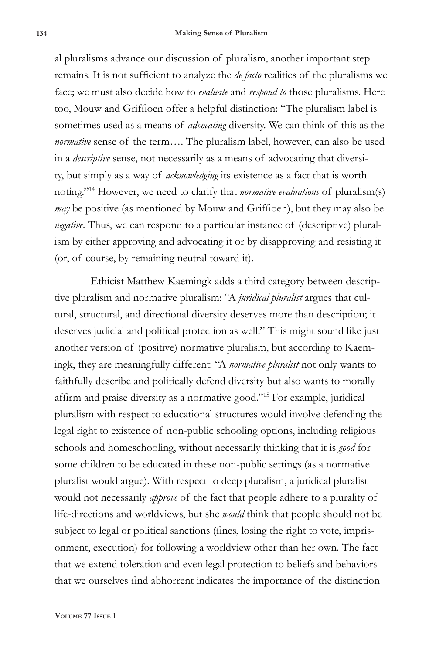al pluralisms advance our discussion of pluralism, another important step remains. It is not sufficient to analyze the *de facto* realities of the pluralisms we face; we must also decide how to *evaluate* and *respond to* those pluralisms. Here too, Mouw and Griffioen offer a helpful distinction: "The pluralism label is sometimes used as a means of *advocating* diversity. We can think of this as the *normative* sense of the term…. The pluralism label, however, can also be used in a *descriptive* sense, not necessarily as a means of advocating that diversity, but simply as a way of *acknowledging* its existence as a fact that is worth noting."14 However, we need to clarify that *normative evaluations* of pluralism(s) *may* be positive (as mentioned by Mouw and Griffioen), but they may also be *negative*. Thus, we can respond to a particular instance of (descriptive) pluralism by either approving and advocating it or by disapproving and resisting it (or, of course, by remaining neutral toward it).

Ethicist Matthew Kaemingk adds a third category between descriptive pluralism and normative pluralism: "A *juridical pluralist* argues that cultural, structural, and directional diversity deserves more than description; it deserves judicial and political protection as well." This might sound like just another version of (positive) normative pluralism, but according to Kaemingk, they are meaningfully different: "A *normative pluralist* not only wants to faithfully describe and politically defend diversity but also wants to morally affirm and praise diversity as a normative good."15 For example, juridical pluralism with respect to educational structures would involve defending the legal right to existence of non-public schooling options, including religious schools and homeschooling, without necessarily thinking that it is *good* for some children to be educated in these non-public settings (as a normative pluralist would argue). With respect to deep pluralism, a juridical pluralist would not necessarily *approve* of the fact that people adhere to a plurality of life-directions and worldviews, but she *would* think that people should not be subject to legal or political sanctions (fines, losing the right to vote, imprisonment, execution) for following a worldview other than her own. The fact that we extend toleration and even legal protection to beliefs and behaviors that we ourselves find abhorrent indicates the importance of the distinction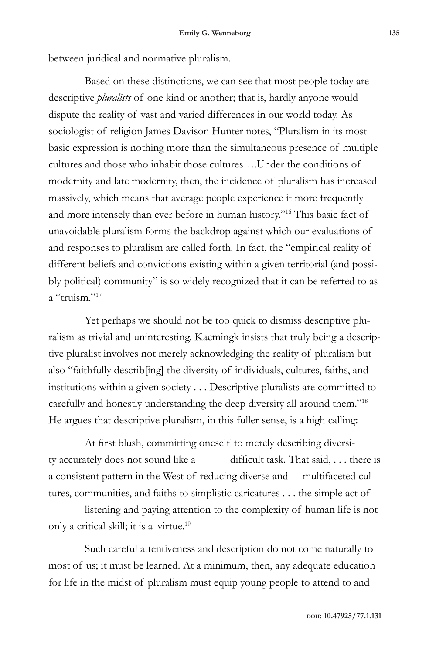between juridical and normative pluralism.

Based on these distinctions, we can see that most people today are descriptive *pluralists* of one kind or another; that is, hardly anyone would dispute the reality of vast and varied differences in our world today. As sociologist of religion James Davison Hunter notes, "Pluralism in its most basic expression is nothing more than the simultaneous presence of multiple cultures and those who inhabit those cultures….Under the conditions of modernity and late modernity, then, the incidence of pluralism has increased massively, which means that average people experience it more frequently and more intensely than ever before in human history."16 This basic fact of unavoidable pluralism forms the backdrop against which our evaluations of and responses to pluralism are called forth. In fact, the "empirical reality of different beliefs and convictions existing within a given territorial (and possibly political) community" is so widely recognized that it can be referred to as a "truism."<sup>17</sup>

Yet perhaps we should not be too quick to dismiss descriptive pluralism as trivial and uninteresting. Kaemingk insists that truly being a descriptive pluralist involves not merely acknowledging the reality of pluralism but also "faithfully describ[ing] the diversity of individuals, cultures, faiths, and institutions within a given society . . . Descriptive pluralists are committed to carefully and honestly understanding the deep diversity all around them."18 He argues that descriptive pluralism, in this fuller sense, is a high calling:

At first blush, committing oneself to merely describing diversity accurately does not sound like a difficult task. That said, . . . there is a consistent pattern in the West of reducing diverse and multifaceted cultures, communities, and faiths to simplistic caricatures . . . the simple act of

listening and paying attention to the complexity of human life is not only a critical skill; it is a virtue.19

Such careful attentiveness and description do not come naturally to most of us; it must be learned. At a minimum, then, any adequate education for life in the midst of pluralism must equip young people to attend to and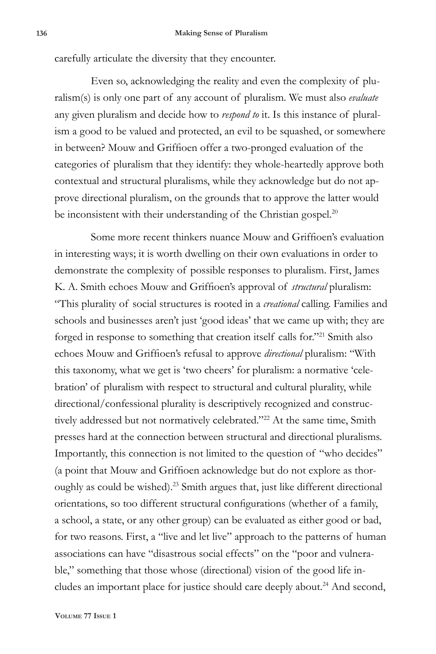carefully articulate the diversity that they encounter.

Even so, acknowledging the reality and even the complexity of pluralism(s) is only one part of any account of pluralism. We must also *evaluate* any given pluralism and decide how to *respond to* it. Is this instance of pluralism a good to be valued and protected, an evil to be squashed, or somewhere in between? Mouw and Griffioen offer a two-pronged evaluation of the categories of pluralism that they identify: they whole-heartedly approve both contextual and structural pluralisms, while they acknowledge but do not approve directional pluralism, on the grounds that to approve the latter would be inconsistent with their understanding of the Christian gospel.<sup>20</sup>

Some more recent thinkers nuance Mouw and Griffioen's evaluation in interesting ways; it is worth dwelling on their own evaluations in order to demonstrate the complexity of possible responses to pluralism. First, James K. A. Smith echoes Mouw and Griffioen's approval of *structural* pluralism: "This plurality of social structures is rooted in a *creational* calling. Families and schools and businesses aren't just 'good ideas' that we came up with; they are forged in response to something that creation itself calls for."21 Smith also echoes Mouw and Griffioen's refusal to approve *directional* pluralism: "With this taxonomy, what we get is 'two cheers' for pluralism: a normative 'celebration' of pluralism with respect to structural and cultural plurality, while directional/confessional plurality is descriptively recognized and constructively addressed but not normatively celebrated."<sup>22</sup> At the same time, Smith presses hard at the connection between structural and directional pluralisms. Importantly, this connection is not limited to the question of "who decides" (a point that Mouw and Griffioen acknowledge but do not explore as thoroughly as could be wished).<sup>23</sup> Smith argues that, just like different directional orientations, so too different structural configurations (whether of a family, a school, a state, or any other group) can be evaluated as either good or bad, for two reasons. First, a "live and let live" approach to the patterns of human associations can have "disastrous social effects" on the "poor and vulnerable," something that those whose (directional) vision of the good life includes an important place for justice should care deeply about.<sup>24</sup> And second,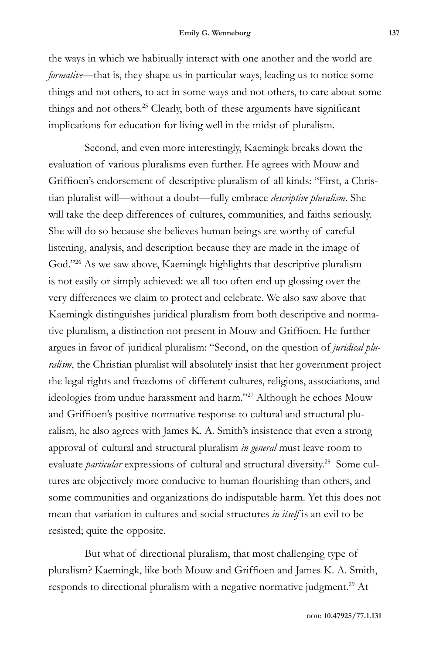the ways in which we habitually interact with one another and the world are *formative*—that is, they shape us in particular ways, leading us to notice some things and not others, to act in some ways and not others, to care about some things and not others.<sup>25</sup> Clearly, both of these arguments have significant implications for education for living well in the midst of pluralism.

Second, and even more interestingly, Kaemingk breaks down the evaluation of various pluralisms even further. He agrees with Mouw and Griffioen's endorsement of descriptive pluralism of all kinds: "First, a Christian pluralist will—without a doubt—fully embrace *descriptive pluralism*. She will take the deep differences of cultures, communities, and faiths seriously. She will do so because she believes human beings are worthy of careful listening, analysis, and description because they are made in the image of God."<sup>26</sup> As we saw above, Kaemingk highlights that descriptive pluralism is not easily or simply achieved: we all too often end up glossing over the very differences we claim to protect and celebrate. We also saw above that Kaemingk distinguishes juridical pluralism from both descriptive and normative pluralism, a distinction not present in Mouw and Griffioen. He further argues in favor of juridical pluralism: "Second, on the question of *juridical pluralism*, the Christian pluralist will absolutely insist that her government project the legal rights and freedoms of different cultures, religions, associations, and ideologies from undue harassment and harm."27 Although he echoes Mouw and Griffioen's positive normative response to cultural and structural pluralism, he also agrees with James K. A. Smith's insistence that even a strong approval of cultural and structural pluralism *in general* must leave room to evaluate *particular* expressions of cultural and structural diversity.<sup>28</sup> Some cultures are objectively more conducive to human flourishing than others, and some communities and organizations do indisputable harm. Yet this does not mean that variation in cultures and social structures *in itself* is an evil to be resisted; quite the opposite.

But what of directional pluralism, that most challenging type of pluralism? Kaemingk, like both Mouw and Griffioen and James K. A. Smith, responds to directional pluralism with a negative normative judgment.<sup>29</sup> At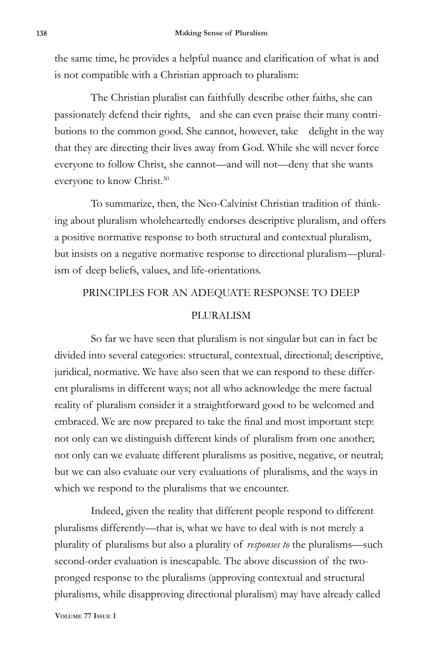the same time, he provides a helpful nuance and clarification of what is and is not compatible with a Christian approach to pluralism:

The Christian pluralist can faithfully describe other faiths, she can passionately defend their rights, and she can even praise their many contributions to the common good. She cannot, however, take delight in the way that they are directing their lives away from God. While she will never force everyone to follow Christ, she cannot—and will not—deny that she wants everyone to know Christ.<sup>30</sup>

To summarize, then, the Neo-Calvinist Christian tradition of thinking about pluralism wholeheartedly endorses descriptive pluralism, and offers a positive normative response to both structural and contextual pluralism, but insists on a negative normative response to directional pluralism—pluralism of deep beliefs, values, and life-orientations.

#### PRINCIPLES FOR AN ADEQUATE RESPONSE TO DEEP

### PLURALISM

So far we have seen that pluralism is not singular but can in fact be divided into several categories: structural, contextual, directional; descriptive, juridical, normative. We have also seen that we can respond to these different pluralisms in different ways; not all who acknowledge the mere factual reality of pluralism consider it a straightforward good to be welcomed and embraced. We are now prepared to take the final and most important step: not only can we distinguish different kinds of pluralism from one another; not only can we evaluate different pluralisms as positive, negative, or neutral; but we can also evaluate our very evaluations of pluralisms, and the ways in which we respond to the pluralisms that we encounter.

Indeed, given the reality that different people respond to different pluralisms differently—that is, what we have to deal with is not merely a plurality of pluralisms but also a plurality of *responses to* the pluralisms—such second-order evaluation is inescapable. The above discussion of the twopronged response to the pluralisms (approving contextual and structural pluralisms, while disapproving directional pluralism) may have already called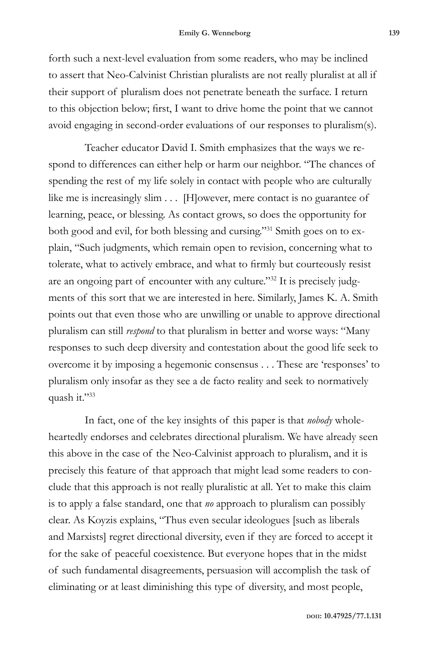forth such a next-level evaluation from some readers, who may be inclined to assert that Neo-Calvinist Christian pluralists are not really pluralist at all if their support of pluralism does not penetrate beneath the surface. I return to this objection below; first, I want to drive home the point that we cannot avoid engaging in second-order evaluations of our responses to pluralism(s).

Teacher educator David I. Smith emphasizes that the ways we respond to differences can either help or harm our neighbor. "The chances of spending the rest of my life solely in contact with people who are culturally like me is increasingly slim . . . [H]owever, mere contact is no guarantee of learning, peace, or blessing. As contact grows, so does the opportunity for both good and evil, for both blessing and cursing."31 Smith goes on to explain, "Such judgments, which remain open to revision, concerning what to tolerate, what to actively embrace, and what to firmly but courteously resist are an ongoing part of encounter with any culture."32 It is precisely judgments of this sort that we are interested in here. Similarly, James K. A. Smith points out that even those who are unwilling or unable to approve directional pluralism can still *respond* to that pluralism in better and worse ways: "Many responses to such deep diversity and contestation about the good life seek to overcome it by imposing a hegemonic consensus . . . These are 'responses' to pluralism only insofar as they see a de facto reality and seek to normatively quash it."33

In fact, one of the key insights of this paper is that *nobody* wholeheartedly endorses and celebrates directional pluralism. We have already seen this above in the case of the Neo-Calvinist approach to pluralism, and it is precisely this feature of that approach that might lead some readers to conclude that this approach is not really pluralistic at all. Yet to make this claim is to apply a false standard, one that *no* approach to pluralism can possibly clear. As Koyzis explains, "Thus even secular ideologues [such as liberals and Marxists] regret directional diversity, even if they are forced to accept it for the sake of peaceful coexistence. But everyone hopes that in the midst of such fundamental disagreements, persuasion will accomplish the task of eliminating or at least diminishing this type of diversity, and most people,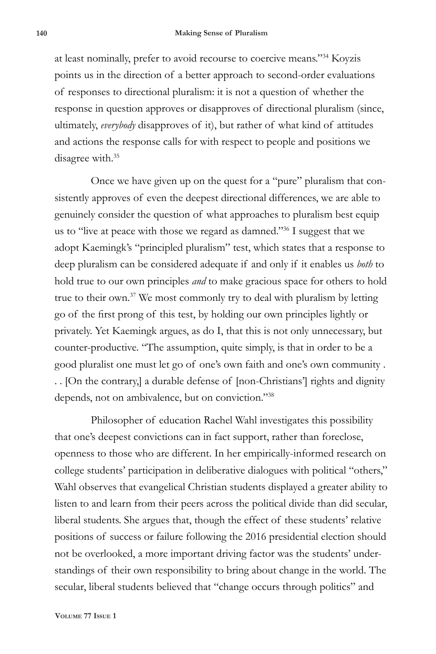at least nominally, prefer to avoid recourse to coercive means."34 Koyzis points us in the direction of a better approach to second-order evaluations of responses to directional pluralism: it is not a question of whether the response in question approves or disapproves of directional pluralism (since, ultimately, *everybody* disapproves of it), but rather of what kind of attitudes and actions the response calls for with respect to people and positions we disagree with.<sup>35</sup>

Once we have given up on the quest for a "pure" pluralism that consistently approves of even the deepest directional differences, we are able to genuinely consider the question of what approaches to pluralism best equip us to "live at peace with those we regard as damned."36 I suggest that we adopt Kaemingk's "principled pluralism" test, which states that a response to deep pluralism can be considered adequate if and only if it enables us *both* to hold true to our own principles *and* to make gracious space for others to hold true to their own.37 We most commonly try to deal with pluralism by letting go of the first prong of this test, by holding our own principles lightly or privately. Yet Kaemingk argues, as do I, that this is not only unnecessary, but counter-productive. "The assumption, quite simply, is that in order to be a good pluralist one must let go of one's own faith and one's own community . . . [On the contrary,] a durable defense of [non-Christians'] rights and dignity depends, not on ambivalence, but on conviction."38

Philosopher of education Rachel Wahl investigates this possibility that one's deepest convictions can in fact support, rather than foreclose, openness to those who are different. In her empirically-informed research on college students' participation in deliberative dialogues with political "others," Wahl observes that evangelical Christian students displayed a greater ability to listen to and learn from their peers across the political divide than did secular, liberal students. She argues that, though the effect of these students' relative positions of success or failure following the 2016 presidential election should not be overlooked, a more important driving factor was the students' understandings of their own responsibility to bring about change in the world. The secular, liberal students believed that "change occurs through politics" and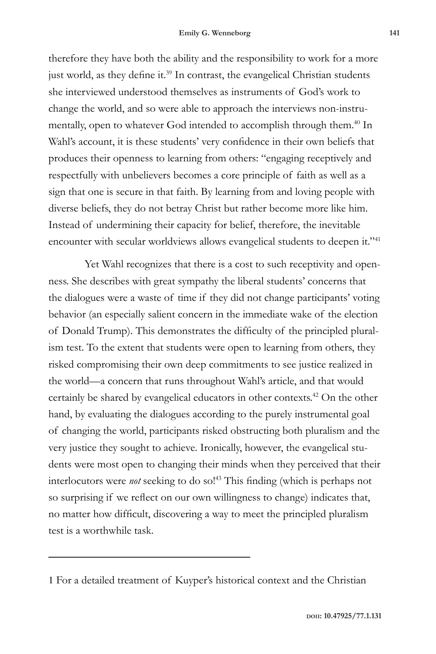therefore they have both the ability and the responsibility to work for a more just world, as they define it.<sup>39</sup> In contrast, the evangelical Christian students she interviewed understood themselves as instruments of God's work to change the world, and so were able to approach the interviews non-instrumentally, open to whatever God intended to accomplish through them.<sup>40</sup> In Wahl's account, it is these students' very confidence in their own beliefs that produces their openness to learning from others: "engaging receptively and respectfully with unbelievers becomes a core principle of faith as well as a sign that one is secure in that faith. By learning from and loving people with diverse beliefs, they do not betray Christ but rather become more like him. Instead of undermining their capacity for belief, therefore, the inevitable encounter with secular worldviews allows evangelical students to deepen it."<sup>41</sup>

Yet Wahl recognizes that there is a cost to such receptivity and openness. She describes with great sympathy the liberal students' concerns that the dialogues were a waste of time if they did not change participants' voting behavior (an especially salient concern in the immediate wake of the election of Donald Trump). This demonstrates the difficulty of the principled pluralism test. To the extent that students were open to learning from others, they risked compromising their own deep commitments to see justice realized in the world—a concern that runs throughout Wahl's article, and that would certainly be shared by evangelical educators in other contexts.42 On the other hand, by evaluating the dialogues according to the purely instrumental goal of changing the world, participants risked obstructing both pluralism and the very justice they sought to achieve. Ironically, however, the evangelical students were most open to changing their minds when they perceived that their interlocutors were *not* seeking to do so!43 This finding (which is perhaps not so surprising if we reflect on our own willingness to change) indicates that, no matter how difficult, discovering a way to meet the principled pluralism test is a worthwhile task.

<sup>1</sup> For a detailed treatment of Kuyper's historical context and the Christian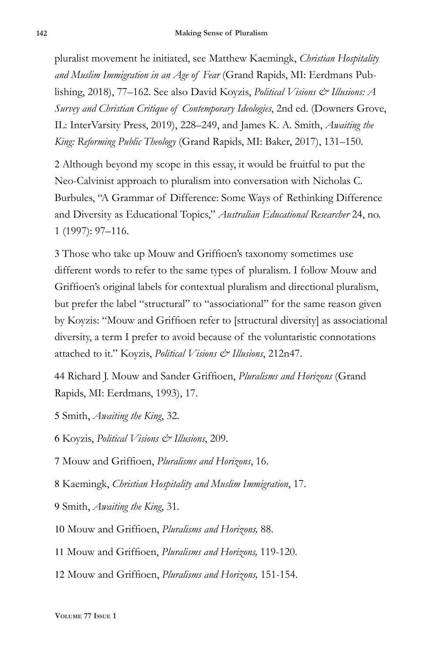pluralist movement he initiated, see Matthew Kaemingk, *Christian Hospitality and Muslim Immigration in an Age of Fear* (Grand Rapids, MI: Eerdmans Publishing, 2018), 77–162. See also David Koyzis, *Political Visions & Illusions: A Survey and Christian Critique of Contemporary Ideologies*, 2nd ed. (Downers Grove, IL: InterVarsity Press, 2019), 228–249, and James K. A. Smith, *Awaiting the King: Reforming Public Theology* (Grand Rapids, MI: Baker, 2017), 131–150.

2 Although beyond my scope in this essay, it would be fruitful to put the Neo-Calvinist approach to pluralism into conversation with Nicholas C. Burbules, "A Grammar of Difference: Some Ways of Rethinking Difference and Diversity as Educational Topics," *Australian Educational Researcher* 24, no. 1 (1997): 97–116.

3 Those who take up Mouw and Griffioen's taxonomy sometimes use different words to refer to the same types of pluralism. I follow Mouw and Griffioen's original labels for contextual pluralism and directional pluralism, but prefer the label "structural" to "associational" for the same reason given by Koyzis: "Mouw and Griffioen refer to [structural diversity] as associational diversity, a term I prefer to avoid because of the voluntaristic connotations attached to it." Koyzis, *Political Visions & Illusions*, 212n47.

44 Richard J. Mouw and Sander Griffioen, *Pluralisms and Horizons* (Grand Rapids, MI: Eerdmans, 1993), 17.

5 Smith, *Awaiting the King*, 32.

6 Koyzis, *Political Visions & Illusions*, 209.

7 Mouw and Griffioen, *Pluralisms and Horizons*, 16.

8 Kaemingk, *Christian Hospitality and Muslim Immigration*, 17.

9 Smith, *Awaiting the King*, 31.

10 Mouw and Griffioen, *Pluralisms and Horizons,* 88.

11 Mouw and Griffioen, *Pluralisms and Horizons,* 119-120.

12 Mouw and Griffioen, *Pluralisms and Horizons,* 151-154.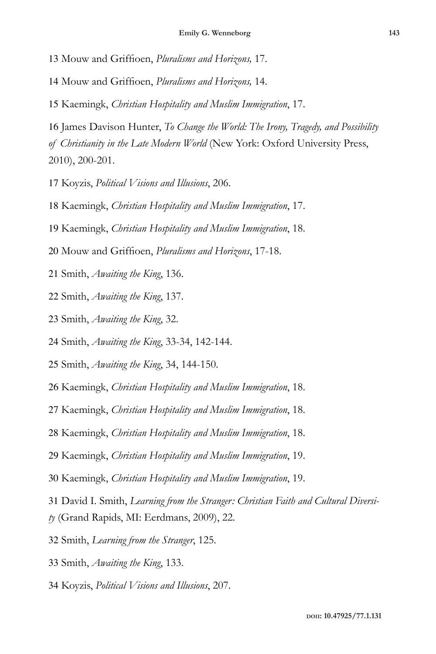Mouw and Griffioen, *Pluralisms and Horizons,* 17.

Mouw and Griffioen, *Pluralisms and Horizons,* 14.

Kaemingk, *Christian Hospitality and Muslim Immigration*, 17.

 James Davison Hunter, *To Change the World: The Irony, Tragedy, and Possibility of Christianity in the Late Modern World* (New York: Oxford University Press, 2010), 200-201.

Koyzis, *Political Visions and Illusions*, 206.

Kaemingk, *Christian Hospitality and Muslim Immigration*, 17.

Kaemingk, *Christian Hospitality and Muslim Immigration*, 18.

- Mouw and Griffioen, *Pluralisms and Horizons*, 17-18.
- Smith, *Awaiting the King*, 136.
- Smith, *Awaiting the King*, 137.
- Smith, *Awaiting the King*, 32.
- Smith, *Awaiting the King*, 33-34, 142-144.
- Smith, *Awaiting the King*, 34, 144-150.
- Kaemingk, *Christian Hospitality and Muslim Immigration*, 18.
- Kaemingk, *Christian Hospitality and Muslim Immigration*, 18.
- Kaemingk, *Christian Hospitality and Muslim Immigration*, 18.
- Kaemingk, *Christian Hospitality and Muslim Immigration*, 19.
- Kaemingk, *Christian Hospitality and Muslim Immigration*, 19.

David I. Smith, *Learning from the Stranger: Christian Faith and Cultural Diversi-*

- *ty* (Grand Rapids, MI: Eerdmans, 2009), 22.
- Smith, *Learning from the Stranger*, 125.
- Smith, *Awaiting the King*, 133.
- Koyzis, *Political Visions and Illusions*, 207.